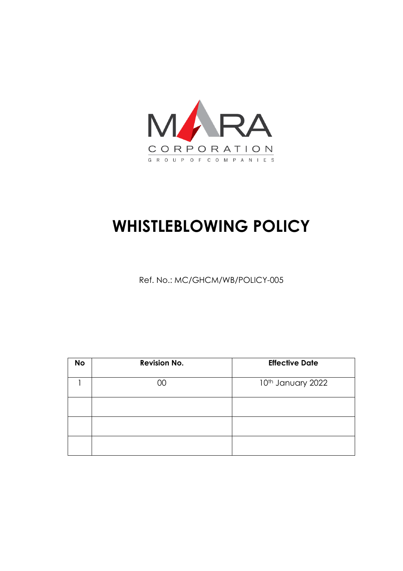

# **WHISTLEBLOWING POLICY**

Ref. No.: MC/GHCM/WB/POLICY-005

| <b>No</b> | <b>Revision No.</b> | <b>Effective Date</b> |
|-----------|---------------------|-----------------------|
|           | ЭO                  | 10th January 2022     |
|           |                     |                       |
|           |                     |                       |
|           |                     |                       |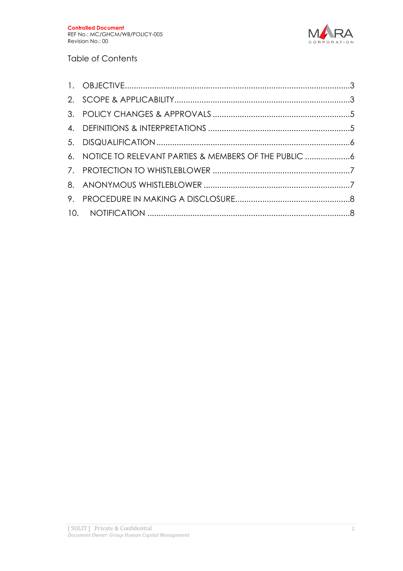

#### Table of Contents

| 6. NOTICE TO RELEVANT PARTIES & MEMBERS OF THE PUBLIC 6 |  |
|---------------------------------------------------------|--|
|                                                         |  |
|                                                         |  |
|                                                         |  |
|                                                         |  |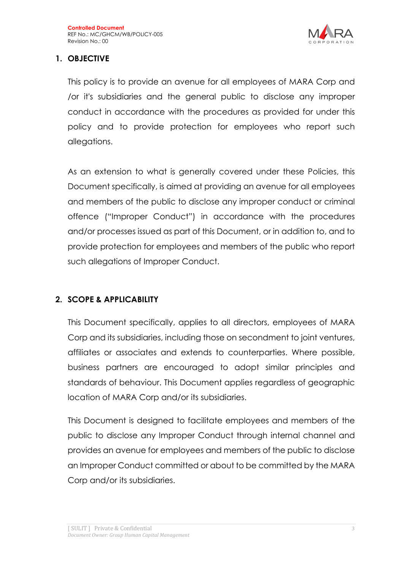

# **1. OBJECTIVE**

This policy is to provide an avenue for all employees of MARA Corp and /or it's subsidiaries and the general public to disclose any improper conduct in accordance with the procedures as provided for under this policy and to provide protection for employees who report such allegations.

As an extension to what is generally covered under these Policies, this Document specifically, is aimed at providing an avenue for all employees and members of the public to disclose any improper conduct or criminal offence ("Improper Conduct") in accordance with the procedures and/or processes issued as part of this Document, or in addition to, and to provide protection for employees and members of the public who report such allegations of Improper Conduct.

# **2. SCOPE & APPLICABILITY**

This Document specifically, applies to all directors, employees of MARA Corp and its subsidiaries, including those on secondment to joint ventures, affiliates or associates and extends to counterparties. Where possible, business partners are encouraged to adopt similar principles and standards of behaviour. This Document applies regardless of geographic location of MARA Corp and/or its subsidiaries.

This Document is designed to facilitate employees and members of the public to disclose any Improper Conduct through internal channel and provides an avenue for employees and members of the public to disclose an Improper Conduct committed or about to be committed by the MARA Corp and/or its subsidiaries.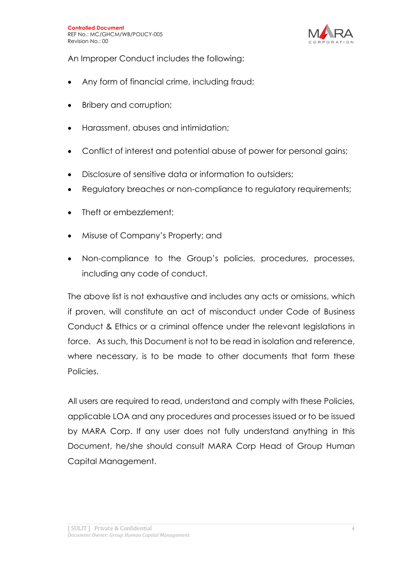

An Improper Conduct includes the following:

- Any form of financial crime, including fraud;
- Bribery and corruption;
- Harassment, abuses and intimidation;
- Conflict of interest and potential abuse of power for personal gains;
- Disclosure of sensitive data or information to outsiders;
- Regulatory breaches or non-compliance to regulatory requirements;
- Theft or embezzlement:
- Misuse of Company's Property; and
- Non-compliance to the Group's policies, procedures, processes, including any code of conduct.

The above list is not exhaustive and includes any acts or omissions, which if proven, will constitute an act of misconduct under Code of Business Conduct & Ethics or a criminal offence under the relevant legislations in force. As such, this Document is not to be read in isolation and reference, where necessary, is to be made to other documents that form these Policies.

All users are required to read, understand and comply with these Policies, applicable LOA and any procedures and processes issued or to be issued by MARA Corp. If any user does not fully understand anything in this Document, he/she should consult MARA Corp Head of Group Human Capital Management.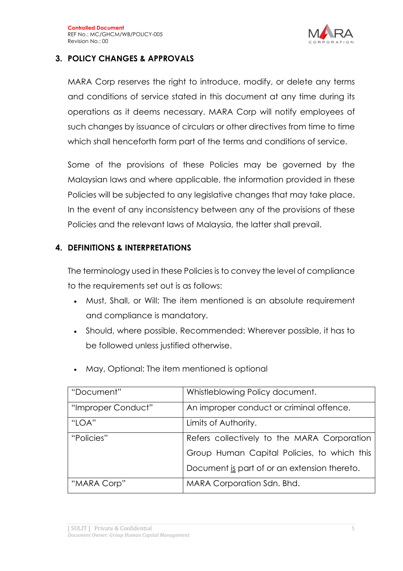

## **3. POLICY CHANGES & APPROVALS**

MARA Corp reserves the right to introduce, modify, or delete any terms and conditions of service stated in this document at any time during its operations as it deems necessary. MARA Corp will notify employees of such changes by issuance of circulars or other directives from time to time which shall henceforth form part of the terms and conditions of service.

Some of the provisions of these Policies may be governed by the Malaysian laws and where applicable, the information provided in these Policies will be subjected to any legislative changes that may take place. In the event of any inconsistency between any of the provisions of these Policies and the relevant laws of Malaysia, the latter shall prevail.

# **4. DEFINITIONS & INTERPRETATIONS**

The terminology used in these Policies is to convey the level of compliance to the requirements set out is as follows:

- Must, Shall, or Will: The item mentioned is an absolute requirement and compliance is mandatory.
- Should, where possible, Recommended: Wherever possible, it has to be followed unless justified otherwise.

| "Document"         | Whistleblowing Policy document.              |  |
|--------------------|----------------------------------------------|--|
| "Improper Conduct" | An improper conduct or criminal offence.     |  |
| "LOA"              | Limits of Authority.                         |  |
| "Policies"         | Refers collectively to the MARA Corporation  |  |
|                    | Group Human Capital Policies, to which this  |  |
|                    | Document is part of or an extension thereto. |  |
| "MARA Corp"        | MARA Corporation Sdn. Bhd.                   |  |

• May, Optional: The item mentioned is optional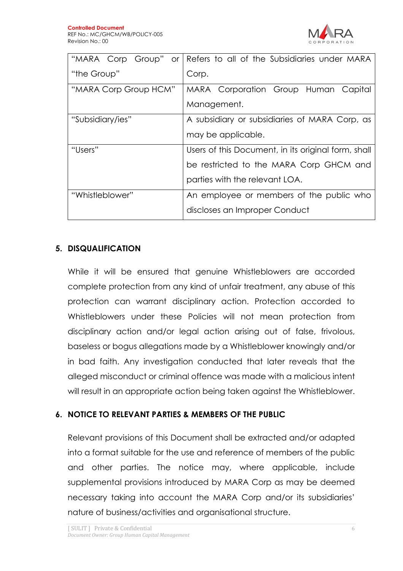

| "MARA Corp Group" or  | Refers to all of the Subsidiaries under MARA        |
|-----------------------|-----------------------------------------------------|
| "the Group"           | Corp.                                               |
| "MARA Corp Group HCM" | MARA Corporation Group Human Capital                |
|                       | Management.                                         |
| "Subsidiary/ies"      | A subsidiary or subsidiaries of MARA Corp, as       |
|                       | may be applicable.                                  |
| "Users"               | Users of this Document, in its original form, shall |
|                       | be restricted to the MARA Corp GHCM and             |
|                       | parties with the relevant LOA.                      |
| "Whistleblower"       | An employee or members of the public who            |
|                       | discloses an Improper Conduct                       |

#### **5. DISQUALIFICATION**

While it will be ensured that genuine Whistleblowers are accorded complete protection from any kind of unfair treatment, any abuse of this protection can warrant disciplinary action. Protection accorded to Whistleblowers under these Policies will not mean protection from disciplinary action and/or legal action arising out of false, frivolous, baseless or bogus allegations made by a Whistleblower knowingly and/or in bad faith. Any investigation conducted that later reveals that the alleged misconduct or criminal offence was made with a malicious intent will result in an appropriate action being taken against the Whistleblower.

#### **6. NOTICE TO RELEVANT PARTIES & MEMBERS OF THE PUBLIC**

Relevant provisions of this Document shall be extracted and/or adapted into a format suitable for the use and reference of members of the public and other parties. The notice may, where applicable, include supplemental provisions introduced by MARA Corp as may be deemed necessary taking into account the MARA Corp and/or its subsidiaries' nature of business/activities and organisational structure.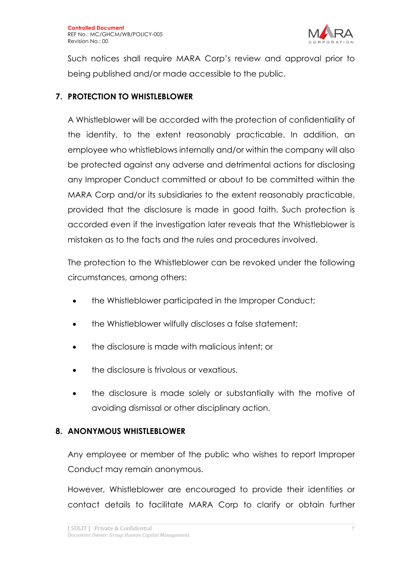

Such notices shall require MARA Corp's review and approval prior to being published and/or made accessible to the public.

#### **7. PROTECTION TO WHISTLEBLOWER**

A Whistleblower will be accorded with the protection of confidentiality of the identity, to the extent reasonably practicable. In addition, an employee who whistleblows internally and/or within the company will also be protected against any adverse and detrimental actions for disclosing any Improper Conduct committed or about to be committed within the MARA Corp and/or its subsidiaries to the extent reasonably practicable, provided that the disclosure is made in good faith. Such protection is accorded even if the investigation later reveals that the Whistleblower is mistaken as to the facts and the rules and procedures involved.

The protection to the Whistleblower can be revoked under the following circumstances, among others:

- the Whistleblower participated in the Improper Conduct;
- the Whistleblower wilfully discloses a false statement;
- the disclosure is made with malicious intent; or
- the disclosure is frivolous or vexatious.
- the disclosure is made solely or substantially with the motive of avoiding dismissal or other disciplinary action.

#### **8. ANONYMOUS WHISTLEBLOWER**

Any employee or member of the public who wishes to report Improper Conduct may remain anonymous.

However, Whistleblower are encouraged to provide their identities or contact details to facilitate MARA Corp to clarify or obtain further